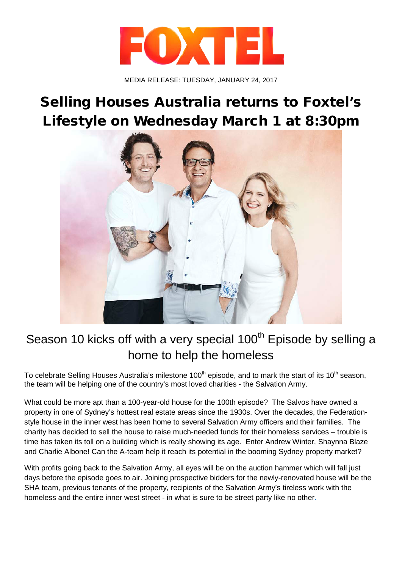

MEDIA RELEASE: TUESDAY, JANUARY 24, 2017

## Selling Houses Australia returns to Foxtel's Lifestyle on Wednesday March 1 at 8:30pm



## Season 10 kicks off with a very special  $100<sup>th</sup>$  Episode by selling a home to help the homeless

To celebrate Selling Houses Australia's milestone 100<sup>th</sup> episode, and to mark the start of its 10<sup>th</sup> season, the team will be helping one of the country's most loved charities - the Salvation Army.

What could be more apt than a 100-year-old house for the 100th episode? The Salvos have owned a property in one of Sydney's hottest real estate areas since the 1930s. Over the decades, the Federationstyle house in the inner west has been home to several Salvation Army officers and their families. The charity has decided to sell the house to raise much-needed funds for their homeless services – trouble is time has taken its toll on a building which is really showing its age. Enter Andrew Winter, Shaynna Blaze and Charlie Albone! Can the A-team help it reach its potential in the booming Sydney property market?

With profits going back to the Salvation Army, all eyes will be on the auction hammer which will fall just days before the episode goes to air. Joining prospective bidders for the newly-renovated house will be the SHA team, previous tenants of the property, recipients of the Salvation Army's tireless work with the homeless and the entire inner west street - in what is sure to be street party like no other.